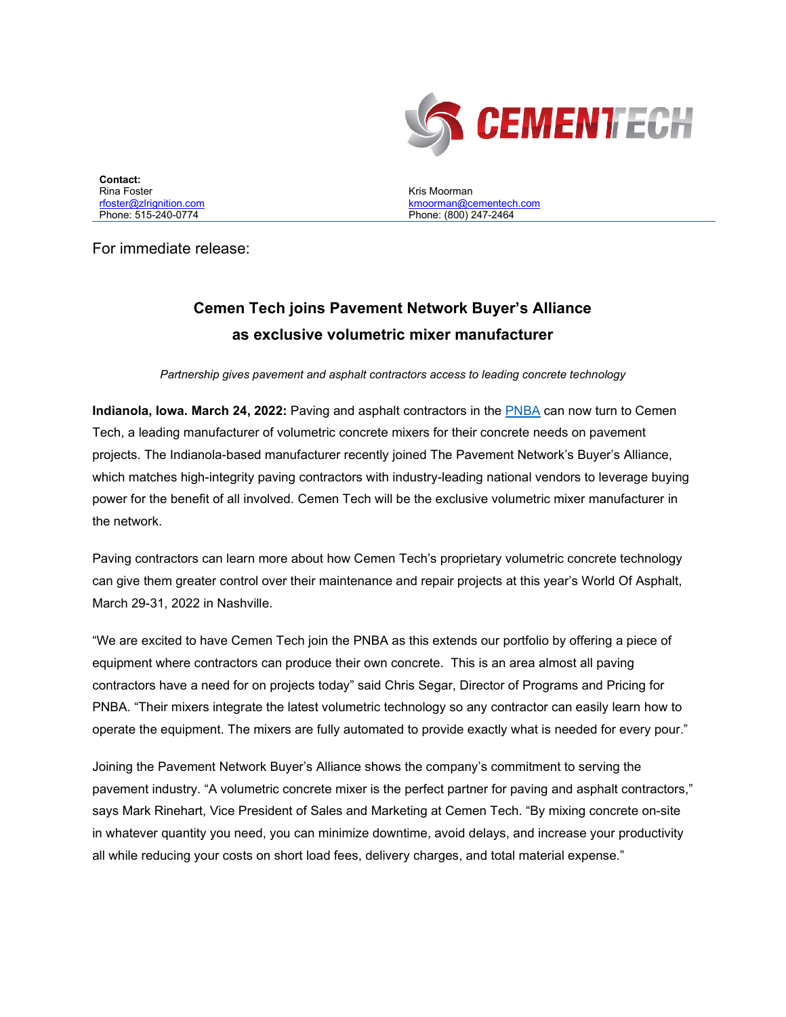

**Contact:**  Rina Foster [rfoster@zlrignition.com](mailto:jlown@zlrignition.com) Phone: 515-240-0774

Kris Moorman [kmoorman@cementech.com](mailto:kmoorman@cementech.com) Phone: (800) 247-2464

For immediate release:

## **Cemen Tech joins Pavement Network Buyer's Alliance as exclusive volumetric mixer manufacturer**

*Partnership gives pavement and asphalt contractors access to leading concrete technology*

**Indianola, Iowa. March 24, 2022:** Paving and asphalt contractors in the [PNBA](https://pnba.us/) can now turn to Cemen Tech, a leading manufacturer of volumetric concrete mixers for their concrete needs on pavement projects. The Indianola-based manufacturer recently joined The Pavement Network's Buyer's Alliance, which matches high-integrity paving contractors with industry-leading national vendors to leverage buying power for the benefit of all involved. Cemen Tech will be the exclusive volumetric mixer manufacturer in the network.

Paving contractors can learn more about how Cemen Tech's proprietary volumetric concrete technology can give them greater control over their maintenance and repair projects at this year's World Of Asphalt, March 29-31, 2022 in Nashville.

"We are excited to have Cemen Tech join the PNBA as this extends our portfolio by offering a piece of equipment where contractors can produce their own concrete. This is an area almost all paving contractors have a need for on projects today" said Chris Segar, Director of Programs and Pricing for PNBA. "Their mixers integrate the latest volumetric technology so any contractor can easily learn how to operate the equipment. The mixers are fully automated to provide exactly what is needed for every pour."

Joining the Pavement Network Buyer's Alliance shows the company's commitment to serving the pavement industry. "A volumetric concrete mixer is the perfect partner for paving and asphalt contractors," says Mark Rinehart, Vice President of Sales and Marketing at Cemen Tech. "By mixing concrete on-site in whatever quantity you need, you can minimize downtime, avoid delays, and increase your productivity all while reducing your costs on short load fees, delivery charges, and total material expense."